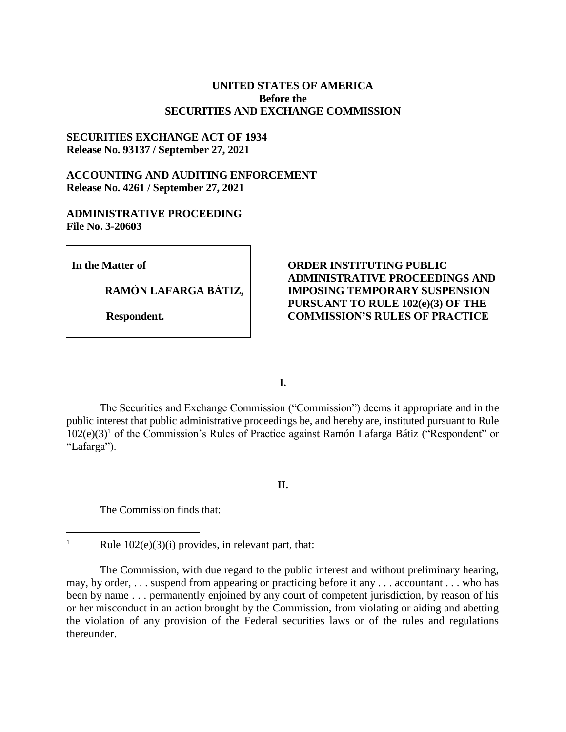## **UNITED STATES OF AMERICA Before the SECURITIES AND EXCHANGE COMMISSION**

## **SECURITIES EXCHANGE ACT OF 1934 Release No. 93137 / September 27, 2021**

# **ACCOUNTING AND AUDITING ENFORCEMENT Release No. 4261 / September 27, 2021**

## **ADMINISTRATIVE PROCEEDING File No. 3-20603**

**In the Matter of**

 $\overline{a}$ 

**RAMÓN LAFARGA BÁTIZ,**

 **Respondent.**

## **ORDER INSTITUTING PUBLIC ADMINISTRATIVE PROCEEDINGS AND IMPOSING TEMPORARY SUSPENSION PURSUANT TO RULE 102(e)(3) OF THE COMMISSION'S RULES OF PRACTICE**

**I.**

The Securities and Exchange Commission ("Commission") deems it appropriate and in the public interest that public administrative proceedings be, and hereby are, instituted pursuant to Rule  $102(e)(3)^1$  of the Commission's Rules of Practice against Ramón Lafarga Bátiz ("Respondent" or "Lafarga").

### **II.**

The Commission finds that:

<sup>&</sup>lt;sup>1</sup> Rule  $102(e)(3)(i)$  provides, in relevant part, that:

The Commission, with due regard to the public interest and without preliminary hearing, may, by order, . . . suspend from appearing or practicing before it any . . . accountant . . . who has been by name . . . permanently enjoined by any court of competent jurisdiction, by reason of his or her misconduct in an action brought by the Commission, from violating or aiding and abetting the violation of any provision of the Federal securities laws or of the rules and regulations thereunder.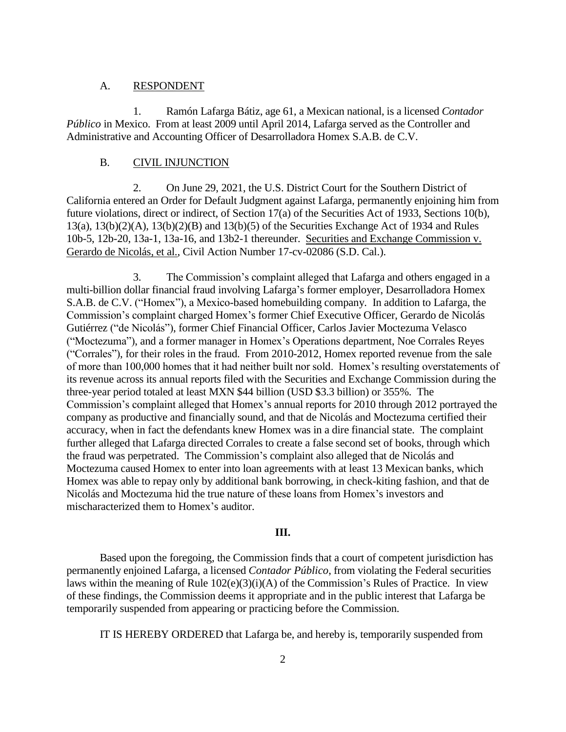### A. RESPONDENT

1. Ramón Lafarga Bátiz, age 61, a Mexican national, is a licensed *Contador Público* in Mexico. From at least 2009 until April 2014, Lafarga served as the Controller and Administrative and Accounting Officer of Desarrolladora Homex S.A.B. de C.V.

### B. CIVIL INJUNCTION

2. On June 29, 2021, the U.S. District Court for the Southern District of California entered an Order for Default Judgment against Lafarga, permanently enjoining him from future violations, direct or indirect, of Section 17(a) of the Securities Act of 1933, Sections 10(b), 13(a), 13(b)(2)(A), 13(b)(2)(B) and 13(b)(5) of the Securities Exchange Act of 1934 and Rules 10b-5, 12b-20, 13a-1, 13a-16, and 13b2-1 thereunder. Securities and Exchange Commission v. Gerardo de Nicolás, et al., Civil Action Number 17-cv-02086 (S.D. Cal.).

3. The Commission's complaint alleged that Lafarga and others engaged in a multi-billion dollar financial fraud involving Lafarga's former employer, Desarrolladora Homex S.A.B. de C.V. ("Homex"), a Mexico-based homebuilding company. In addition to Lafarga, the Commission's complaint charged Homex's former Chief Executive Officer, Gerardo de Nicolás Gutiérrez ("de Nicolás"), former Chief Financial Officer, Carlos Javier Moctezuma Velasco ("Moctezuma"), and a former manager in Homex's Operations department, Noe Corrales Reyes ("Corrales"), for their roles in the fraud. From 2010-2012, Homex reported revenue from the sale of more than 100,000 homes that it had neither built nor sold. Homex's resulting overstatements of its revenue across its annual reports filed with the Securities and Exchange Commission during the three-year period totaled at least MXN \$44 billion (USD \$3.3 billion) or 355%. The Commission's complaint alleged that Homex's annual reports for 2010 through 2012 portrayed the company as productive and financially sound, and that de Nicolás and Moctezuma certified their accuracy, when in fact the defendants knew Homex was in a dire financial state. The complaint further alleged that Lafarga directed Corrales to create a false second set of books, through which the fraud was perpetrated. The Commission's complaint also alleged that de Nicolás and Moctezuma caused Homex to enter into loan agreements with at least 13 Mexican banks, which Homex was able to repay only by additional bank borrowing, in check-kiting fashion, and that de Nicolás and Moctezuma hid the true nature of these loans from Homex's investors and mischaracterized them to Homex's auditor.

### **III.**

Based upon the foregoing, the Commission finds that a court of competent jurisdiction has permanently enjoined Lafarga, a licensed *Contador Público*, from violating the Federal securities laws within the meaning of Rule 102(e)(3)(i)(A) of the Commission's Rules of Practice. In view of these findings, the Commission deems it appropriate and in the public interest that Lafarga be temporarily suspended from appearing or practicing before the Commission.

IT IS HEREBY ORDERED that Lafarga be, and hereby is, temporarily suspended from